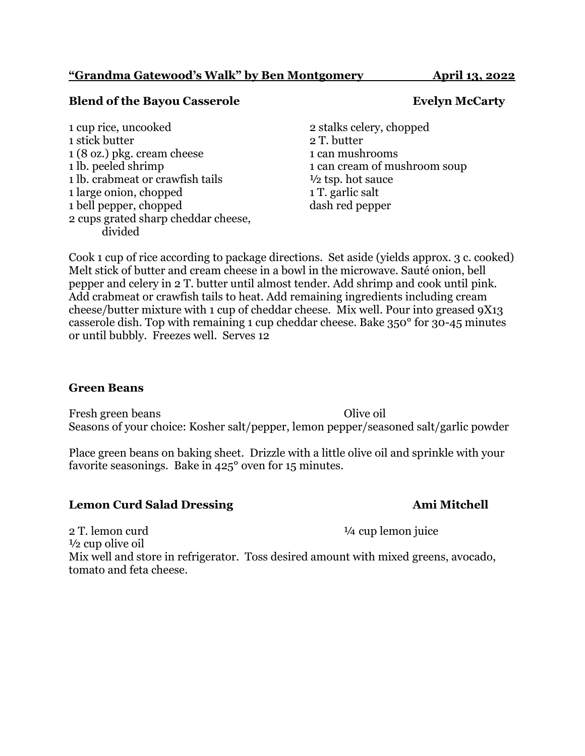### **"Grandma Gatewood's Walk" by Ben Montgomery April 13, 2022**

## **Blend of the Bayou Casserole <b>Evelyn McCarty**

1 cup rice, uncooked 2 stalks celery, chopped 1 stick butter 2 T. butter 1 (8 oz.) pkg. cream cheese 1 can mushrooms 1 lb. peeled shrimp 1 can cream of mushroom soup 1 lb. crabmeat or crawfish tails <sup>1/2</sup> tsp. hot sauce 1 large onion, chopped 1 T. garlic salt 1 bell pepper, chopped dash red pepper 2 cups grated sharp cheddar cheese, divided

Cook 1 cup of rice according to package directions. Set aside (yields approx. 3 c. cooked) Melt stick of butter and cream cheese in a bowl in the microwave. Sauté onion, bell pepper and celery in 2 T. butter until almost tender. Add shrimp and cook until pink. Add crabmeat or crawfish tails to heat. Add remaining ingredients including cream cheese/butter mixture with 1 cup of cheddar cheese. Mix well. Pour into greased 9X13 casserole dish. Top with remaining 1 cup cheddar cheese. Bake 350° for 30-45 minutes or until bubbly. Freezes well. Serves 12

### **Green Beans**

Fresh green beans Olive oil Seasons of your choice: Kosher salt/pepper, lemon pepper/seasoned salt/garlic powder

Place green beans on baking sheet. Drizzle with a little olive oil and sprinkle with your favorite seasonings. Bake in 425° oven for 15 minutes.

### **Lemon Curd Salad Dressing <b>Ami** Mitchell

2 T. lemon curd  $\frac{1}{4}$  cup lemon juice  $\frac{1}{2}$  cup olive oil Mix well and store in refrigerator. Toss desired amount with mixed greens, avocado, tomato and feta cheese.